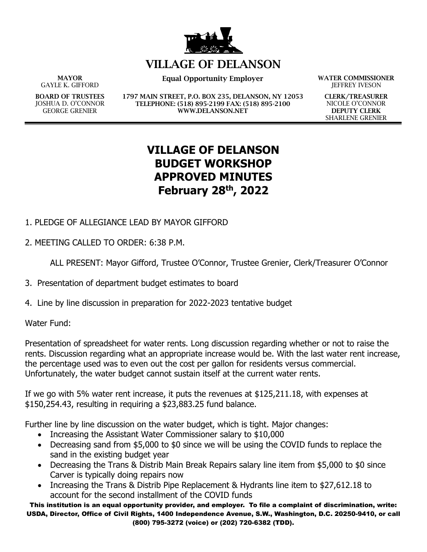

## **VILLAGE OF DELANSON**

**MAYOR** GAYLE K. GIFFORD

**BOARD OF TRUSTEES** JOSHUA D. O'CONNOR GEORGE GRENIER

**Equal Opportunity Employer WATER COMMISSIONER**

**1797 MAIN STREET, P.O. BOX 235, DELANSON, NY 12053 TELEPHONE: (518) 895-2199 FAX: (518) 895-2100 WWW.DELANSON.NET**

JEFFREY IVESON

**CLERK/TREASURER** NICOLE O'CONNOR **DEPUTY CLERK** SHARLENE GRENIER

## **VILLAGE OF DELANSON BUDGET WORKSHOP APPROVED MINUTES February 28th, 2022**

- 1. PLEDGE OF ALLEGIANCE LEAD BY MAYOR GIFFORD
- 2. MEETING CALLED TO ORDER: 6:38 P.M.

ALL PRESENT: Mayor Gifford, Trustee O'Connor, Trustee Grenier, Clerk/Treasurer O'Connor

- 3. Presentation of department budget estimates to board
- 4. Line by line discussion in preparation for 2022-2023 tentative budget

Water Fund:

Presentation of spreadsheet for water rents. Long discussion regarding whether or not to raise the rents. Discussion regarding what an appropriate increase would be. With the last water rent increase, the percentage used was to even out the cost per gallon for residents versus commercial. Unfortunately, the water budget cannot sustain itself at the current water rents.

If we go with 5% water rent increase, it puts the revenues at \$125,211.18, with expenses at \$150,254.43, resulting in requiring a \$23,883.25 fund balance.

Further line by line discussion on the water budget, which is tight. Major changes:

- Increasing the Assistant Water Commissioner salary to \$10,000
- Decreasing sand from \$5,000 to \$0 since we will be using the COVID funds to replace the sand in the existing budget year
- Decreasing the Trans & Distrib Main Break Repairs salary line item from \$5,000 to \$0 since Carver is typically doing repairs now
- Increasing the Trans & Distrib Pipe Replacement & Hydrants line item to \$27,612.18 to account for the second installment of the COVID funds

This institution is an equal opportunity provider, and employer. To file a complaint of discrimination, write: USDA, Director, Office of Civil Rights, 1400 Independence Avenue, S.W., Washington, D.C. 20250-9410, or call (800) 795-3272 (voice) or (202) 720-6382 (TDD).